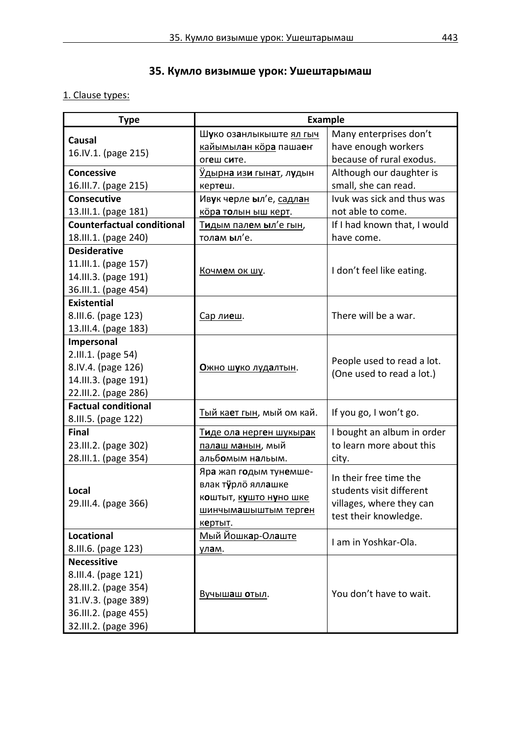# **35. Кумло визымше урок: Ушештарымаш**

## 1. Clause types:

| <b>Type</b>                       | <b>Example</b>                           |                              |
|-----------------------------------|------------------------------------------|------------------------------|
| <b>Causal</b>                     | Шуко озанлыкыште ял гыч                  | Many enterprises don't       |
| 16.IV.1. (page 215)               | <u>кайымылан кöра</u> пашаен             | have enough workers          |
|                                   | огеш сите.                               | because of rural exodus.     |
| <b>Concessive</b>                 | <u>Удырна изи гынат</u> , л <b>у</b> дын | Although our daughter is     |
| 16.III.7. (page 215)              | кертеш.                                  | small, she can read.         |
| <b>Consecutive</b>                | Ивук черле ыл'е, садлан                  | Ivuk was sick and thus was   |
| 13.III.1. (page 181)              | кора толын ыш керт.                      | not able to come.            |
| <b>Counterfactual conditional</b> | <u>Тидым палем ыл'е гын</u> ,            | If I had known that, I would |
| 18.III.1. (page 240)              | толам ыл'е.                              | have come.                   |
| <b>Desiderative</b>               |                                          |                              |
| 11.III.1. (page 157)              | Кочмем ок шу.                            | I don't feel like eating.    |
| 14.III.3. (page 191)              |                                          |                              |
| 36.III.1. (page 454)              |                                          |                              |
| <b>Existential</b>                |                                          |                              |
| 8.III.6. (page 123)               | Сар лиеш.                                | There will be a war.         |
| 13.III.4. (page 183)              |                                          |                              |
| Impersonal                        |                                          |                              |
| 2.III.1. (page 54)                |                                          | People used to read a lot.   |
| 8.IV.4. (page 126)                | Ожно шуко лудалтын.                      | (One used to read a lot.)    |
| 14.III.3. (page 191)              |                                          |                              |
| 22.III.2. (page 286)              |                                          |                              |
| <b>Factual conditional</b>        | Тый кает гын, мый ом кай.                | If you go, I won't go.       |
| 8.III.5. (page 122)               |                                          |                              |
| <b>Final</b>                      | <u>Тиде ола нерген шукырак</u>           | I bought an album in order   |
| 23.III.2. (page 302)              | <u>пал<b>а</b>ш м<b>а</b>нын</u> , мый   | to learn more about this     |
| 28.III.1. (page 354)              | альбомым нальым.                         | city.                        |
|                                   | Яра жап годым тунемше-                   | In their free time the       |
| Local                             | влак турло яллашке                       | students visit different     |
| 29.III.4. (page 366)              | коштыт, кушто нуно шке                   | villages, where they can     |
|                                   | шинчымашыштым терген                     | test their knowledge.        |
|                                   | кертыт.                                  |                              |
| <b>Locational</b>                 | Мый Йошкар-Олаште                        | I am in Yoshkar-Ola.         |
| 8.III.6. (page 123)               | улам.                                    |                              |
| <b>Necessitive</b>                |                                          |                              |
| 8.III.4. (page 121)               |                                          |                              |
| 28.III.2. (page 354)              | <u>Вучышаш отыл</u> .                    | You don't have to wait.      |
| 31.IV.3. (page 389)               |                                          |                              |
| 36.III.2. (page 455)              |                                          |                              |
| 32.III.2. (page 396)              |                                          |                              |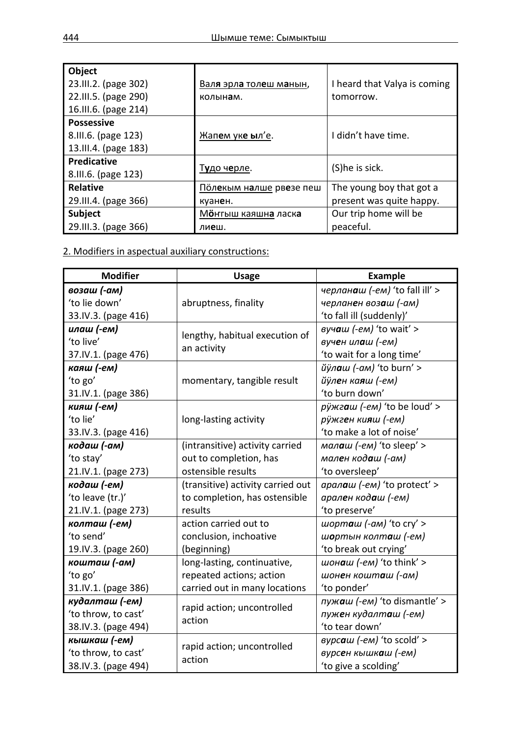| Object<br>23.III.2. (page 302)<br>22.III.5. (page 290)<br>16.III.6. (page 214) | Валя эрла толеш манын,<br>колынам. | I heard that Valya is coming<br>tomorrow. |
|--------------------------------------------------------------------------------|------------------------------------|-------------------------------------------|
| <b>Possessive</b><br>8.III.6. (page 123)<br>13.III.4. (page 183)               | Жапем уке ыл'е.                    | I didn't have time.                       |
| <b>Predicative</b><br>8.III.6. (page 123)                                      | Тудо черле.                        | (S)he is sick.                            |
| <b>Relative</b>                                                                | Полекым налше рвезе пеш            | The young boy that got a                  |
| 29.III.4. (page 366)                                                           | куанен.                            | present was quite happy.                  |
| <b>Subject</b>                                                                 | Мёнгыш каяшна ласка                | Our trip home will be                     |
| 29.III.3. (page 366)                                                           | лиеш.                              | peaceful.                                 |

2. Modifiers in aspectual auxiliary constructions:

| <b>Modifier</b>     | <b>Usage</b>                                  | <b>Example</b>                 |
|---------------------|-----------------------------------------------|--------------------------------|
| возаш (-ам)         | abruptness, finality                          | черланаш (-ем) 'to fall ill' > |
| 'to lie down'       |                                               | черланен возаш (-ам)           |
| 33.IV.3. (page 416) |                                               | 'to fall ill (suddenly)'       |
| илаш (-ем)          | lengthy, habitual execution of<br>an activity | вучаш $(-eM)$ 'to wait' >      |
| 'to live'           |                                               | вучен илаш (-ем)               |
| 37.IV.1. (page 476) |                                               | 'to wait for a long time'      |
| каяш (-ем)          |                                               | йўлаш (-ам) 'to burn' >        |
| 'to go'             | momentary, tangible result                    | йўлен каяш (-ем)               |
| 31.IV.1. (page 386) |                                               | 'to burn down'                 |
| кияш (-ем)          |                                               | рÿжгаш (-ем) 'to be loud' >    |
| 'to lie'            | long-lasting activity                         | рўжген кияш (-ем)              |
| 33.IV.3. (page 416) |                                               | 'to make a lot of noise'       |
| кодаш (-ам)         | (intransitive) activity carried               | малаш (-ем) 'to sleep' >       |
| 'to stay'           | out to completion, has                        | мален кодаш (-ам)              |
| 21.IV.1. (page 273) | ostensible results                            | 'to oversleep'                 |
| кодаш (-ем)         | (transitive) activity carried out             | аралаш (-ем) 'to protect' >    |
| 'to leave (tr.)'    | to completion, has ostensible                 | арален кодаш (-ем)             |
| 21.IV.1. (page 273) | results                                       | 'to preserve'                  |
| колташ (-ем)        | action carried out to                         | шорташ (-ам) 'to cry' >        |
| 'to send'           | conclusion, inchoative                        | шортын колташ (-ем)            |
| 19.IV.3. (page 260) | (beginning)                                   | 'to break out crying'          |
| кошташ (-ам)        | long-lasting, continuative,                   | шонаш (-ем) 'to think' >       |
| 'to go'             | repeated actions; action                      | шонен кошташ (-ам)             |
| 31.IV.1. (page 386) | carried out in many locations                 | 'to ponder'                    |
| кудалташ (-ем)      |                                               | пужаш (-ем) 'to dismantle' >   |
| 'to throw, to cast' | rapid action; uncontrolled<br>action          | пужен кудалташ (-ем)           |
| 38.IV.3. (page 494) |                                               | 'to tear down'                 |
| кышкаш (-ем)        | rapid action; uncontrolled<br>action          | вурсаш (-ем) 'to scold' >      |
| 'to throw, to cast' |                                               | вурсен кышкаш (-ем)            |
| 38.IV.3. (page 494) |                                               | 'to give a scolding'           |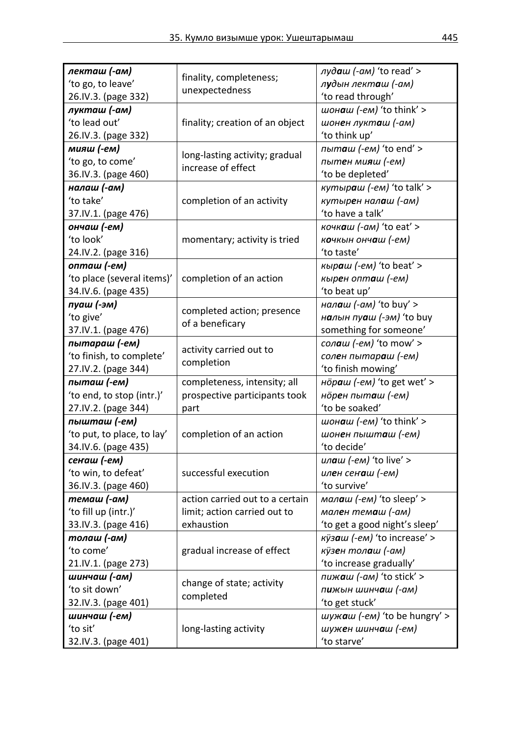| лекташ (-ам)               | finality, completeness;                | $ny\partial\mathbf{a}w$ (-am) 'to read' > |
|----------------------------|----------------------------------------|-------------------------------------------|
| 'to go, to leave'          | unexpectedness                         | лудын лекташ (-ам)                        |
| 26.IV.3. (page 332)        |                                        | 'to read through'                         |
| лукташ (-ам)               |                                        | шонаш (-ем) 'to think' >                  |
| 'to lead out'              | finality; creation of an object        | шонен лукташ (-ам)                        |
| 26.IV.3. (page 332)        |                                        | 'to think up'                             |
| мияш (-ем)                 |                                        | пыташ (-ем) 'to end' >                    |
| 'to go, to come'           | long-lasting activity; gradual         | пытен мияш (-ем)                          |
| 36.IV.3. (page 460)        | increase of effect                     | 'to be depleted'                          |
| налаш (-ам)                |                                        | кутыраш $(-em)$ 'to talk' >               |
| 'to take'                  | completion of an activity              | кутырен налаш (-ам)                       |
| 37.IV.1. (page 476)        |                                        | 'to have a talk'                          |
| ончаш (-ем)                |                                        | кочкаш (-ам) 'to eat' >                   |
| 'to look'                  | momentary; activity is tried           | кочкын ончаш (-ем)                        |
| 24.IV.2. (page 316)        |                                        | 'to taste'                                |
| опташ (-ем)                |                                        | кыраш (-ем) 'to beat' >                   |
| 'to place (several items)' | completion of an action                | кырен опташ (-ем)                         |
| 34.IV.6. (page 435)        |                                        | 'to beat up'                              |
| пуаш (-эм)                 |                                        | налаш $(-\alpha M)'$ to buy' >            |
| 'to give'                  | completed action; presence             | налын пуаш (-эм) 'to buy                  |
| 37.IV.1. (page 476)        | of a beneficary                        | something for someone'                    |
|                            |                                        |                                           |
| пытараш (-ем)              | activity carried out to                | сол <b>а</b> ш (-ем) 'to mow' >           |
| 'to finish, to complete'   | completion                             | солен пытараш (-ем)                       |
| 27.IV.2. (page 344)        |                                        | 'to finish mowing'                        |
| пыташ (-ем)                | completeness, intensity; all           | нöраш (-ем) 'to get wet' >                |
| 'to end, to stop (intr.)'  | prospective participants took          | норен пыташ (-ем)                         |
| 27.IV.2. (page 344)        | part                                   | 'to be soaked'                            |
| пышташ (-ем)               |                                        | шон <b>а</b> ш (-ем) 'to think' >         |
| 'to put, to place, to lay' | completion of an action                | шонен пышташ (-ем)                        |
| 34.IV.6. (page 435)        |                                        | 'to decide'                               |
| сенаш (-ем)                |                                        | ил <b>а</b> ш (-ем) 'to live' >           |
| 'to win, to defeat'        | successful execution                   | илен сенаш (-ем)                          |
| 36.IV.3. (page 460)        |                                        | 'to survive'                              |
| темаш (-ам)                | action carried out to a certain        | малаш (-ем) 'to sleep' >                  |
| 'to fill up (intr.)'       | limit; action carried out to           | мален темаш (-ам)                         |
| 33.IV.3. (page 416)        | exhaustion                             | 'to get a good night's sleep'             |
| толаш (-ам)                |                                        | кÿзаш (-ем) 'to increase' >               |
| 'to come'                  | gradual increase of effect             | кўзен толаш (-ам)                         |
| 21.IV.1. (page 273)        |                                        | 'to increase gradually'                   |
| шинчаш (-ам)               |                                        | пижаш (-ам) 'to stick' >                  |
| 'to sit down'              | change of state; activity<br>completed | пижын шинчаш (-ам)                        |
| 32.IV.3. (page 401)        |                                        | 'to get stuck'                            |
| шинчаш (-ем)               |                                        | шужаш (-ем) 'to be hungry' >              |
| 'to sit'                   | long-lasting activity                  | шужен шинчаш (-ем)                        |
| 32.IV.3. (page 401)        |                                        | 'to starve'                               |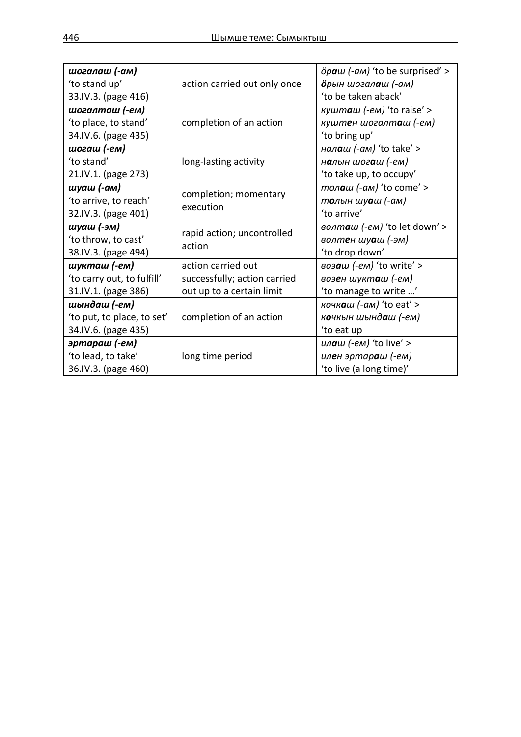| шогалаш (-ам)              |                                      | öpaw (-ам) 'to be surprised' >      |
|----------------------------|--------------------------------------|-------------------------------------|
| 'to stand up'              | action carried out only once         | <b>ö</b> рын шогал <b>а</b> ш (-ам) |
| 33.IV.3. (page 416)        |                                      | 'to be taken aback'                 |
| шогалташ (-ем)             |                                      | кушташ (-ем) 'to raise' >           |
| 'to place, to stand'       | completion of an action              | куштен шогалташ (-ем)               |
| 34.IV.6. (page 435)        |                                      | 'to bring up'                       |
| шогаш (-ем)                |                                      | нал <b>а</b> ш (-ам) 'to take' >    |
| 'to stand'                 | long-lasting activity                | н <b>а</b> лын шог <b>а</b> ш (-ем) |
| 21.IV.1. (page 273)        |                                      | 'to take up, to occupy'             |
| шуаш (-ам)                 | completion; momentary                | толаш (-ам) 'to come' >             |
| 'to arrive, to reach'      |                                      | толын шуаш (-ам)                    |
| 32.IV.3. (page 401)        | execution                            | 'to arrive'                         |
| шуаш (-эм)                 | rapid action; uncontrolled<br>action | волташ (-ем) 'to let down' >        |
| 'to throw, to cast'        |                                      | волтен шуаш (-эм)                   |
| 38.IV.3. (page 494)        |                                      | 'to drop down'                      |
| шукташ (-ем)               | action carried out                   | возаш (-ем) 'to write' >            |
| 'to carry out, to fulfill' | successfully; action carried         | возен шукташ (-ем)                  |
| 31.IV.1. (page 386)        | out up to a certain limit            | 'to manage to write '               |
| шындаш (-ем)               |                                      | кочкаш (-ам) 'to eat' >             |
| 'to put, to place, to set' | completion of an action              | кочкын шындаш (-ем)                 |
| 34.IV.6. (page 435)        |                                      | 'to eat up                          |
| эртараш (-ем)              |                                      | илаш (-ем) 'to live' >              |
| 'to lead, to take'         | long time period                     | илен эртараш (-ем)                  |
| 36.IV.3. (page 460)        |                                      | 'to live (a long time)'             |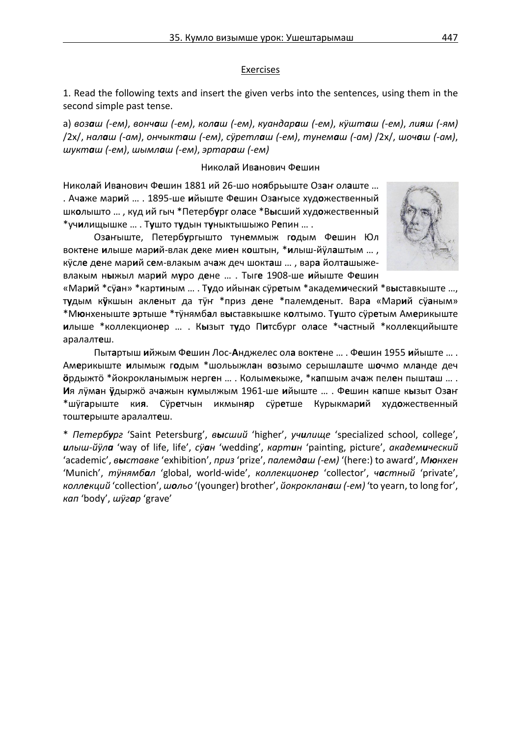#### Exercises

1. Read the following texts and insert the given verbs into the sentences, using them in the second simple past tense.

а) возаш (-ем), вончаш (-ем), колаш (-ем), куандараш (-ем), кушташ (-ем), лияш (-ям) /2x/, налаш (-ам), ончыкташ (-ем), суретлаш (-ем), тунемаш (-ам) /2x/, шочаш (-ам), *шукташ (-ем)*, *шымлаш (-ем)*, *эртараш (-ем)*

#### Никол**а**й Ив**а**нович Ф**е**шин

Никол**а**й Ив**а**нович Ф**е**шин 1881 ий 26-шо но**я**брьыште Оз**а**ҥ ол**а**ште … . Ач**а**же мар**и**й … . 1895-ше **и**йыште Ф**е**шин Оз**а**ҥысе худ**о**жественный шк**о**лышто … , куд ий гыч \*Петерб**у**рг ол**а**се \*В**ы**сший худ**о**жественный \*уч**и**лищышке … . Т**у**што т**у**дын т**у**ныктышыжо Р**е**пин … .

Оз**а**ҥыште, Петерб**у**ргышто тун**е**ммыж г**о**дым Ф**е**шин Юл вокт**е**не **и**лыше мар**и**й-влак д**е**ке ми**е**н к**о**штын, \***и**лыш-йӱл**а**штым … , кӱсл**е** д**е**не мар**и**й с**е**м-влакым ач**а**ж деч шокт**а**ш … , вар**а** йолт**а**шыжевлакым н**ы**жыл мар**и**й м**у**ро д**е**не … . Тыг**е** 1908-ше **и**йыште Ф**е**шин

«Мар**и**й \*сӱ**а**н» \*карт**и**ным … . Т**у**до ийын**а**к сӱр**е**тым \*академ**и**ческий \*в**ы**ставкыште …, т**у**дым к**ӱ**кшын акл**е**ныт да тӱҥ \*приз д**е**не \*палемд**е**ныт. Вар**а** «Мар**и**й сӱ**а**ным» \*М**ю**нхеныште **э**ртыше \*тӱнямб**а**л в**ы**ставкышке к**о**лтымо. Т**у**што сӱр**е**тым Ам**е**рикыште **и**лыше \*коллекцион**е**р … . К**ы**зыт т**у**до П**и**тсбург ол**а**се \*ч**а**стный \*колл**е**кцийыште аралалт**е**ш.

Пыт**а**ртыш **и**йжым Ф**е**шин Лос-**А**нджелес ол**а** вокт**е**не … . Ф**е**шин 1955 **и**йыште … . Ам**е**рикыште **и**лымыж г**о**дым \*шольыжл**а**н в**о**зымо серышл**а**ште ш**о**чмо мл**а**нде деч **ӧ**рдыжтӧ \*йокрокл**а**нымыж нерг**е**н … . Колым**е**кыже, \*к**а**пшым ач**а**ж пел**е**н пышт**а**ш … . **И**я лӱм**а**н **ӱ**дыржӧ ач**а**жын к**у**мылжым 1961-ше **и**йыште … . Ф**е**шин к**а**пше к**ы**зыт Оз**а**ҥ \*шӱг**а**рыште ки**я**. Сӱр**е**тчын икмын**я**р сӱр**е**тше Курыкмар**и**й худ**о**жественный тошт**е**рыште аралалт**е**ш.

\* *Петербург* 'Saint Petersburg', *высший* 'higher', *училище* 'specialized school, college', *илыш-йӱла* 'way of life, life', *сӱан* 'wedding', *картин* 'painting, picture', *академический*  'academic', *выставке* 'exhibition', *приз* 'prize', *палемдаш (-ем)* '(here:) to award', *Мюнхен*  'Munich', *тӱнямбал* 'global, world-wide', *коллекционер* 'collector', *частный* 'private', *коллекций* 'collection', *шольо* '(younger) brother', *йокрокланаш (-ем)* 'to yearn, to long for', *кап* 'body', *шӱгар* 'grave'

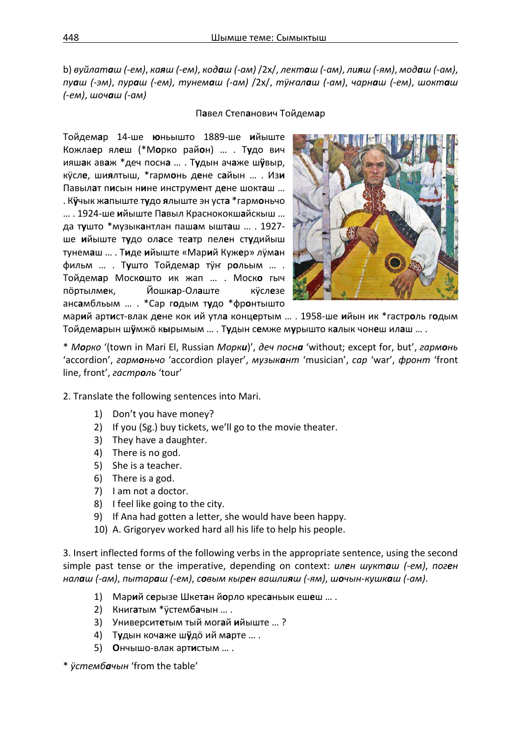b) вуйлаташ (-ем), каяш (-ем), кодаш (-ам) /2х/, лекташ (-ам), лияш (-ям), модаш (-ам), пуаш (-эм), пураш (-ем), тунемаш (-ам) /2х/, туналаш (-ам), чарнаш (-ем), шокташ *(-ем)*, *шочаш (-ам)*

### П**а**вел Степ**а**нович Тойдем**а**р

Тойдем**а**р 14-ше **ю**ньышто 1889-ше **и**йыште Кожла**е**р ял**е**ш (\*М**о**рко рай**о**н) … . Т**у**до вич ияш**а**к ав**а**ж \*деч посн**а** … . Т**у**дын ач**а**же ш**ӱ**выр, кӱсл**е**, ши**я**лтыш, \*гарм**о**нь д**е**не с**а**йын … . Из**и** Павыл**а**т п**и**сын н**и**не инструм**е**нт д**е**не шокт**а**ш … . К**ӱ**чык ж**а**пыште т**у**до **я**лыште эн уст**а** \*гарм**о**ньчо … . 1924-ше **и**йыште П**а**выл Краснококш**а**йскыш … да т**у**што \*музык**а**нтлан паш**а**м ышт**а**ш … . 1927 ше **и**йыште т**у**до ол**а**се те**а**тр пел**е**н ст**у**дийыш тунем**а**ш … . Т**и**де **и**йыште «Мар**и**й Куж**е**р» лӱм**а**н фильм … . Т**у**што Тойдем**а**р тӱҥ р**о**льым … . Тойдем**а**р Моск**о**што ик жап … . Моск**о** гыч пӧртылм**е**к, Йошк**а**р-Ол**а**ште кӱсл**е**зе анс**а**мбльым … . \*Сар г**о**дым т**у**до \*фр**о**нтышто



мар**и**й арт**и**ст-влак д**е**не кок ий утл**а** конц**е**ртым … . 1958-ше **и**йын ик \*гастр**о**ль г**о**дым Тойдем**а**рын ш**ӱ**мжӧ к**ы**рымым … . Т**у**дын с**е**мже м**у**рышто к**а**лык чон**е**ш ил**а**ш … .

\* *Морко* '(town in Mari El, Russian *Морки*)', *деч посна* 'without; except for, but', *гармонь* 'accordion', *гармоньчо* 'accordion player', *музыкант* 'musician', *сар* 'war', *фронт* 'front line, front', *гастроль* 'tour'

- 2. Translate the following sentences into Mari.
	- 1) Don't you have money?
	- 2) If you (Sg.) buy tickets, we'll go to the movie theater.
	- 3) They have a daughter.
	- 4) There is no god.
	- 5) She is a teacher.
	- 6) There is a god.
	- 7) I am not a doctor.
	- 8) I feel like going to the city.
	- 9) If Ana had gotten a letter, she would have been happy.
	- 10) A. Grigoryev worked hard all his life to help his people.

3. Insert inflected forms of the following verbs in the appropriate sentence, using the second simple past tense or the imperative, depending on context: *илен шукташ (-ем)*, *поген*  налаш (-ам), пытараш (-ем), совым кырен вашлияш (-ям), шочын-кушкаш (-ам).

- 1) Мар**и**й с**е**рызе Шкет**а**н й**о**рло крес**а**ньык еш**е**ш … .
- 2) Книг**а**тым \*ӱстемб**а**чын … .
- 3) Университ**е**тым тый мог**а**й **и**йыште … ?
- 4) Т**у**дын коч**а**же ш**ӱ**дӧ ий м**а**рте … .
- 5) **О**нчышо-влак арт**и**стым … .

\* *ӱстембачын* 'from the table'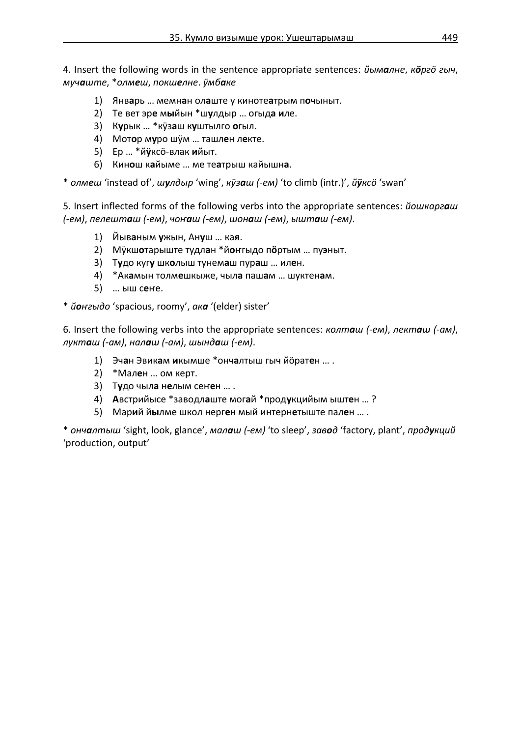4. Insert the following words in the sentence appropriate sentences: *йымалне*, *кӧргӧ гыч*, *мучаште*, \**олмеш*, *покшелне*. *ӱмбаке*

- 1) Янв**а**рь … мемн**а**н ол**а**ште у киноте**а**трым п**о**чыныт.
- 2) Те вет эр**е** м**ы**йын \*ш**у**лдыр … огыд**а и**ле.
- 3) К**у**рык … \*кӱз**а**ш к**у**штылго **о**гыл.
- 4) Мот**о**р м**у**ро шӱм … ташл**е**н л**е**кте.
- 5) Ер … \*й**ӱ**ксӧ-влак **и**йыт.
- 6) Кин**о**ш к**а**йыме … ме те**а**трыш кайышн**а**.

\* *олмеш* 'instead of', *шулдыр* 'wing', *кӱзаш (-ем)* 'to climb (intr.)', *йӱксӧ* 'swan'

5. Insert inflected forms of the following verbs into the appropriate sentences: *йошкаргаш (-ем)*, *пелешташ (-ем)*, *чоҥаш (-ем)*, *шонаш (-ем)*, *ышташ (-ем)*.

- 1) Йыв**а**ным **у**жын, Ан**у**ш … ка**я**.
- 2) Мӱкш**о**тарыште тудл**а**н \*й**о**ҥгыдо п**ӧ**ртым … пу**э**ныт.
- 3) Т**у**до куг**у** шк**о**лыш тунем**а**ш пур**а**ш … ил**е**н.
- 4) \*Ак**а**мын толм**е**шкыже, чыл**а** паш**а**м … шуктен**а**м.
- 5) … ыш с**е**ҥе.

\* *йоҥгыдо* 'spacious, roomy', *ака* '(elder) sister'

6. Insert the following verbs into the appropriate sentences: *колташ (-ем)*, *лекташ (-ам)*, *лукташ (-ам)*, *налаш (-ам)*, *шындаш (-ем)*.

- 1) Эч**а**н Эвик**а**м **и**кымше \*онч**а**лтыш гыч йӧрат**е**н … .
- 2) \*Мал**е**н … ом керт.
- 3) Т**у**до чыл**а** н**е**лым сеҥ**е**н … .
- 4) **А**встрийысе \*заводл**а**ште мог**а**й \*прод**у**кцийым ышт**е**н … ?
- 5) Мар**и**й й**ы**лме школ нерг**е**н мый интерн**е**тыште пал**е**н … .

\* *ончалтыш* 'sight, look, glance', *малаш (-ем)* 'to sleep', *завод* 'factory, plant', *продукций* 'production, output'